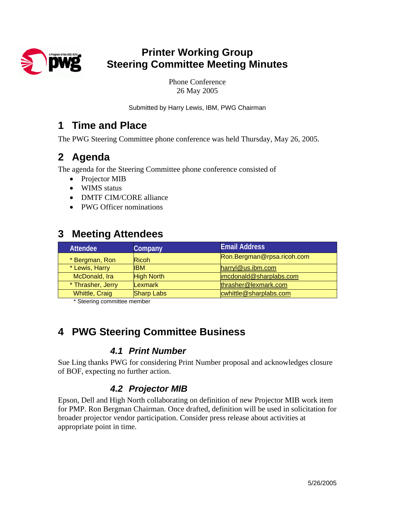

# **Printer Working Group Steering Committee Meeting Minutes**

Phone Conference 26 May 2005

Submitted by Harry Lewis, IBM, PWG Chairman

### **1 Time and Place**

The PWG Steering Committee phone conference was held Thursday, May 26, 2005.

# **2 Agenda**

The agenda for the Steering Committee phone conference consisted of

- Projector MIB
- WIMS status
- DMTF CIM/CORE alliance
- PWG Officer nominations

## **3 Meeting Attendees**

| Company           | <b>Email Address</b>       |
|-------------------|----------------------------|
| <b>Ricoh</b>      | Ron.Bergman@rpsa.ricoh.com |
| <b>IBM</b>        | harryl@us.ibm.com          |
| <b>High North</b> | imcdonald@sharplabs.com    |
| Lexmark           | thrasher@lexmark.com       |
| <b>Sharp Labs</b> | cwhittle@sharplabs.com     |
|                   |                            |

\* Steering committee member

# **4 PWG Steering Committee Business**

#### *4.1 Print Number*

Sue Ling thanks PWG for considering Print Number proposal and acknowledges closure of BOF, expecting no further action.

#### *4.2 Projector MIB*

Epson, Dell and High North collaborating on definition of new Projector MIB work item for PMP. Ron Bergman Chairman. Once drafted, definition will be used in solicitation for broader projector vendor participation. Consider press release about activities at appropriate point in time.